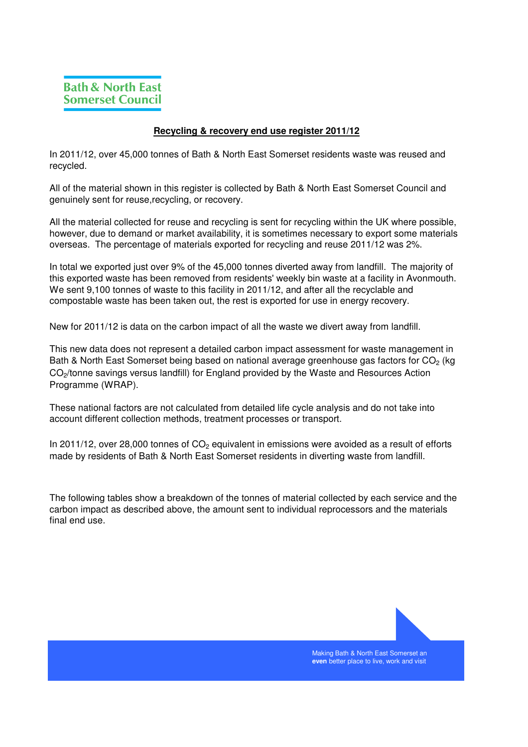## **Recycling & recovery end use register 2011/12**

In 2011/12, over 45,000 tonnes of Bath & North East Somerset residents waste was reused and recycled.

All of the material shown in this register is collected by Bath & North East Somerset Council and genuinely sent for reuse,recycling, or recovery.

All the material collected for reuse and recycling is sent for recycling within the UK where possible, however, due to demand or market availability, it is sometimes necessary to export some materials overseas. The percentage of materials exported for recycling and reuse 2011/12 was 2%.

In total we exported just over 9% of the 45,000 tonnes diverted away from landfill. The majority of this exported waste has been removed from residents' weekly bin waste at a facility in Avonmouth. We sent 9,100 tonnes of waste to this facility in 2011/12, and after all the recyclable and compostable waste has been taken out, the rest is exported for use in energy recovery.

New for 2011/12 is data on the carbon impact of all the waste we divert away from landfill.

This new data does not represent a detailed carbon impact assessment for waste management in Bath & North East Somerset being based on national average greenhouse gas factors for CO<sub>2</sub> (kg CO<sub>2</sub>/tonne savings versus landfill) for England provided by the Waste and Resources Action Programme (WRAP).

These national factors are not calculated from detailed life cycle analysis and do not take into account different collection methods, treatment processes or transport.

In 2011/12, over 28,000 tonnes of  $CO<sub>2</sub>$  equivalent in emissions were avoided as a result of efforts made by residents of Bath & North East Somerset residents in diverting waste from landfill.

The following tables show a breakdown of the tonnes of material collected by each service and the carbon impact as described above, the amount sent to individual reprocessors and the materials final end use.



Making Bath & North East Somerset an **even** better place to live, work and visit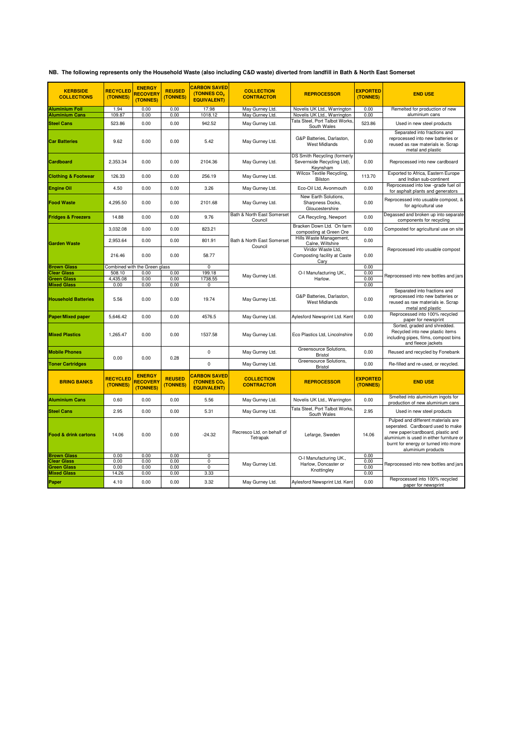|  | NB. The following represents only the Household Waste (also including C&D waste) diverted from landfill in Bath & North East Somerset |  |  |  |
|--|---------------------------------------------------------------------------------------------------------------------------------------|--|--|--|
|--|---------------------------------------------------------------------------------------------------------------------------------------|--|--|--|

| <b>KERBSIDE</b><br><b>COLLECTIONS</b>                          | <b>RECYCLED</b><br>(TONNES) | <b>ENERGY</b><br><b>RECOVERY</b><br>(TONNES) | <b>REUSED</b><br>(TONNES) | <b>CARBON SAVED</b><br>(TONNES CO <sub>2</sub><br><b>EQUIVALENT)</b> | <b>COLLECTION</b><br><b>CONTRACTOR</b> | <b>REPROCESSOR</b>                                                     | <b>EXPORTED</b><br>(TONNES) | <b>END USE</b>                                                                                                                                                                                                        |
|----------------------------------------------------------------|-----------------------------|----------------------------------------------|---------------------------|----------------------------------------------------------------------|----------------------------------------|------------------------------------------------------------------------|-----------------------------|-----------------------------------------------------------------------------------------------------------------------------------------------------------------------------------------------------------------------|
| <b>Aluminium Foil</b>                                          | 1.94                        | 0.00                                         | 0.00                      | 17.98                                                                | May Gurney Ltd.                        | Novelis UK Ltd., Warrington                                            | 0.00                        | Remelted for production of new                                                                                                                                                                                        |
| <b>Aluminium Cans</b>                                          | 109.87                      | 0.00                                         | 0.00                      | 1018.12                                                              | May Gurney Ltd.                        | Novelis UK Ltd., Warrington<br>Fata Steel, Port Talbot Works.          | 0.00                        | aluminium cans                                                                                                                                                                                                        |
| <b>Steel Cans</b>                                              | 523.86                      | 0.00                                         | 0.00                      | 942.52                                                               | May Gurney Ltd.                        | South Wales                                                            | 523.86                      | Used in new steel products                                                                                                                                                                                            |
| <b>Car Batteries</b>                                           | 9.62                        | 0.00                                         | 0.00                      | 5.42                                                                 | May Gurney Ltd.                        | G&P Batteries, Darlaston,<br><b>West Midlands</b>                      | 0.00                        | Separated into fractions and<br>reprocessed into new batteries or<br>reused as raw materials ie. Scrap<br>metal and plastic                                                                                           |
| Cardboard                                                      | 2,353.34                    | 0.00                                         | 0.00                      | 2104.36                                                              | May Gurney Ltd.                        | DS Smith Recycling (formerly<br>Severnside Recycling Ltd),<br>Keynsham | 0.00                        | Reprocessed into new cardboard                                                                                                                                                                                        |
| <b>Clothing &amp; Footwear</b>                                 | 126.33                      | 0.00                                         | 0.00                      | 256.19                                                               | May Gurney Ltd.                        | Wilcox Textile Recycling,<br>Bilston                                   | 113.70                      | Exported to Africa, Eastern Europe<br>and Indian sub-continent                                                                                                                                                        |
| <b>Engine Oil</b>                                              | 4.50                        | 0.00                                         | 0.00                      | 3.26                                                                 | May Gurney Ltd.                        | Eco-Oil Ltd, Avonmouth                                                 | 0.00                        | Reprocessed into low -grade fuel oil<br>for asphalt plants and generators                                                                                                                                             |
| <b>Food Waste</b>                                              | 4,295.50                    | 0.00                                         | 0.00                      | 2101.68                                                              | May Gurney Ltd.                        | New Earth Solutions,<br>Sharpness Docks,<br>Gloucestershire            | 0.00                        | Reprocessed into usuable compost, &<br>for agricultural use                                                                                                                                                           |
| <b>Fridges &amp; Freezers</b>                                  | 14.88                       | 0.00                                         | 0.00                      | 9.76                                                                 | Bath & North East Somerset<br>Council  | CA Recycling, Newport                                                  | 0.00                        | Degassed and broken up into separate<br>components for recycling                                                                                                                                                      |
|                                                                | 3,032.08                    | 0.00                                         | 0.00                      | 823.21                                                               | Bath & North East Somerset<br>Council  | Bracken Down Ltd. On farm<br>composting at Green Ore                   | 0.00                        | Composted for agricultural use on site                                                                                                                                                                                |
| <b>Garden Waste</b>                                            | 2,953.64                    | 0.00                                         | 0.00                      | 801.91                                                               |                                        | Hills Waste Management,<br>Calne, Wiltshire                            | 0.00                        | Reprocessed into usuable compost                                                                                                                                                                                      |
|                                                                | 216.46                      | 0.00                                         | 0.00                      | 58.77                                                                |                                        | Viridor Waste Ltd.<br>Composting facility at Caste<br>Cary             | 0.00                        |                                                                                                                                                                                                                       |
| <b>Brown Glass</b>                                             |                             | Combined with the Green glass                |                           | 0                                                                    |                                        |                                                                        | 0.00                        |                                                                                                                                                                                                                       |
| <b>Clear Glass</b><br><b>Green Glass</b>                       | 508.10<br>4,435.08          | 0.00<br>0.00                                 | 0.00<br>0.00              | 199.18<br>1738.55                                                    | May Gurney Ltd.                        | O-I Manufacturing UK.,<br>Harlow.                                      | 0.00<br>0.00                | Reprocessed into new bottles and jars                                                                                                                                                                                 |
| <b>Mixed Glass</b>                                             | 0.00                        | 0.00                                         | 0.00                      | 0                                                                    |                                        |                                                                        | 0.00                        |                                                                                                                                                                                                                       |
| <b>Household Batteries</b>                                     | 5.56                        | 0.00                                         | 0.00                      | 19.74                                                                | May Gurney Ltd.                        | G&P Batteries, Darlaston,<br><b>West Midlands</b>                      | 0.00                        | Separated into fractions and<br>reprocessed into new batteries or<br>reused as raw materials ie. Scrap<br>metal and plastic                                                                                           |
| <b>Paper/Mixed paper</b>                                       | 5,646.42                    | 0.00                                         | 0.00                      | 4576.5                                                               | May Gurney Ltd.                        | Aylesford Newsprint Ltd. Kent                                          | 0.00                        | Reprocessed into 100% recycled<br>paper for newsprint                                                                                                                                                                 |
| <b>Mixed Plastics</b>                                          | 1,265.47                    | 0.00                                         | 0.00                      | 1537.58                                                              | May Gurney Ltd.                        | Eco Plastics Ltd, Lincolnshire                                         | 0.00                        | Sorted, graded and shredded.<br>Recycled into new plastic items<br>including pipes, films, compost bins<br>and fleece jackets                                                                                         |
| <b>Mobile Phones</b>                                           | 0.00                        | 0.00                                         | 0.28                      | $\mathbf 0$                                                          | May Gurney Ltd.                        | Greensource Solutions,<br>Bristol                                      | 0.00                        | Reused and recycled by Fonebank                                                                                                                                                                                       |
| <b>Toner Cartridges</b>                                        |                             |                                              |                           | $\mathbf 0$                                                          | May Gurney Ltd.                        | Greensource Solutions,<br><b>Bristol</b>                               | 0.00                        | Re-filled and re-used, or recycled.                                                                                                                                                                                   |
| <b>BRING BANKS</b>                                             | <b>RECYCLED</b><br>(TONNES) | <b>ENERGY</b><br><b>RECOVERY</b><br>(TONNES) | <b>REUSED</b><br>(TONNES) | <b>CARBON SAVED</b><br>(TONNES CO <sub>2</sub><br><b>EQUIVALENT)</b> | <b>COLLECTION</b><br><b>CONTRACTOR</b> | <b>REPROCESSOR</b>                                                     | <b>EXPORTED</b><br>(TONNES) | <b>END USE</b>                                                                                                                                                                                                        |
| <b>Aluminium Cans</b>                                          | 0.60                        | 0.00                                         | 0.00                      | 5.56                                                                 | May Gurney Ltd.                        | Novelis UK Ltd., Warrington                                            | 0.00                        | Smelted into aluminium ingots for<br>production of new aluminium cans                                                                                                                                                 |
| <b>Steel Cans</b>                                              | 2.95                        | 0.00                                         | 0.00                      | 5.31                                                                 | May Gurney Ltd.                        | Tata Steel, Port Talbot Works,<br>South Wales                          | 2.95                        | Used in new steel products                                                                                                                                                                                            |
| <b>Food &amp; drink cartons</b>                                | 14.06                       | 0.00                                         | 0.00                      | $-24.32$                                                             | Recresco Ltd, on behalf of<br>Tetrapak | Lefarge, Sweden                                                        | 14.06                       | Pulped and different materials are<br>seperated. Cardboard used to make<br>new paper/cardboard, plastic and<br>aluminium is used in either furniture or<br>burnt for energy or turned into more<br>aluminium products |
| <b>Brown Glass</b><br><b>Clear Glass</b><br><b>Green Glass</b> | 0.00<br>0.00<br>0.00        | 0.00<br>0.00<br>0.00                         | 0.00<br>0.00<br>0.00      | 0<br>0<br>$\mathbf 0$                                                | May Gurney Ltd.                        | O-I Manufacturing UK.,<br>Harlow, Doncaster or<br>Knottingley          | 0.00<br>0.00<br>0.00        | Reprocessed into new bottles and jars                                                                                                                                                                                 |
| <b>Mixed Glass</b>                                             | 14.26                       | 0.00                                         | 0.00                      | 3.33                                                                 |                                        |                                                                        | 0.00                        |                                                                                                                                                                                                                       |
| Paper                                                          | 4.10                        | 0.00                                         | 0.00                      | 3.32                                                                 | May Gurney Ltd.                        | Aylesford Newsprint Ltd. Kent                                          | 0.00                        | Reprocessed into 100% recycled<br>paper for newsprint                                                                                                                                                                 |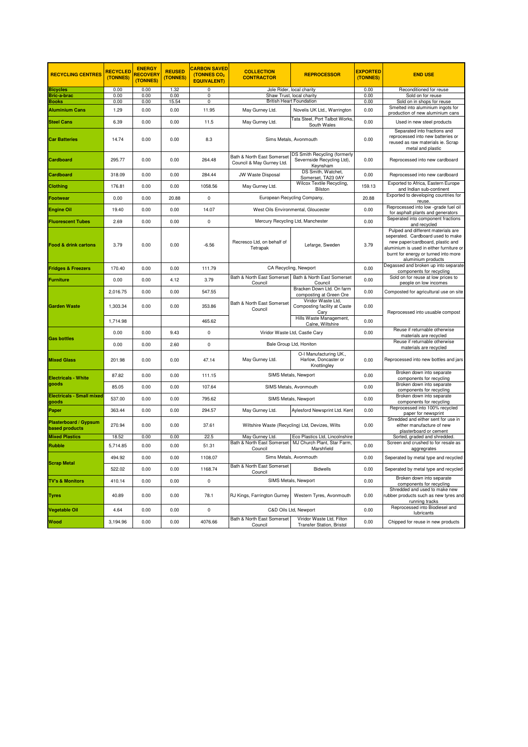| <b>RECYCLING CENTRES</b>                | <b>RECYCLED</b><br>(TONNES) | <b>ENERGY</b><br><b>RECOVER</b><br>(TONNES) | <b>REUSED</b><br>(TONNES) | <b>CARBON SAVED</b><br>(TONNES CO <sub>2</sub><br><b>EQUIVALENT)</b> | <b>COLLECTION</b><br><b>CONTRACTOR</b>                  | <b>REPROCESSOR</b>                                                     | <b>EXPORTED</b><br>(TONNES) | <b>END USE</b>                                                                                                                                                                                                        |
|-----------------------------------------|-----------------------------|---------------------------------------------|---------------------------|----------------------------------------------------------------------|---------------------------------------------------------|------------------------------------------------------------------------|-----------------------------|-----------------------------------------------------------------------------------------------------------------------------------------------------------------------------------------------------------------------|
| Bicycles                                | 0.00                        | 0.00                                        | 1.32                      | 0                                                                    |                                                         | Jole Rider, local charity                                              | 0.00                        | Reconditioned for reuse                                                                                                                                                                                               |
| Bric-a-brac                             | 0.00                        | 0.00                                        | 0.00                      | 0                                                                    |                                                         | Shaw Trust, local charity                                              | 0.00                        | Sold on for reuse                                                                                                                                                                                                     |
| Books                                   | 0.00                        | 0.00                                        | 15.54                     | $\overline{0}$                                                       | <b>British Heart Foundation</b>                         |                                                                        | 0.00                        | Sold on in shops for reuse                                                                                                                                                                                            |
| <b>Aluminium Cans</b>                   | 1.29                        | 0.00                                        | 0.00                      | 11.95                                                                | May Gurney Ltd.                                         | Novelis UK Ltd., Warrington                                            | 0.00                        | Smelted into aluminium ingots for<br>production of new aluminium cans                                                                                                                                                 |
| <b>Steel Cans</b>                       | 6.39                        | 0.00                                        | 0.00                      | 11.5                                                                 | May Gurney Ltd.                                         | Tata Steel, Port Talbot Works<br>South Wales                           | 0.00                        | Used in new steel products                                                                                                                                                                                            |
| <b>Car Batteries</b>                    | 14.74                       | 0.00                                        | 0.00                      | 8.3                                                                  | Sims Metals, Avonmouth                                  |                                                                        | 0.00                        | Separated into fractions and<br>reprocessed into new batteries or<br>reused as raw materials ie. Scrap<br>metal and plastic                                                                                           |
| Cardboard                               | 295.77                      | 0.00                                        | 0.00                      | 264.48                                                               | Bath & North East Somerset<br>Council & May Gurney Ltd. | DS Smith Recycling (formerly<br>Severnside Recycling Ltd),<br>Keynsham | 0.00                        | Reprocessed into new cardboard                                                                                                                                                                                        |
| Cardboard                               | 318.09                      | 0.00                                        | 0.00                      | 284.44                                                               | JW Waste Disposal                                       | DS Smith, Watchet,<br>Somerset, TA23 0AY                               | 0.00                        | Reprocessed into new cardboard                                                                                                                                                                                        |
| Clothing                                | 176.81                      | 0.00                                        | 0.00                      | 1058.56                                                              | May Gurney Ltd.                                         | Wilcox Textile Recycling,<br>Bilston                                   | 159.13                      | Exported to Africa, Eastern Europe<br>and Indian sub-continent                                                                                                                                                        |
| Footwear                                | 0.00                        | 0.00                                        | 20.88                     | 0                                                                    | European Recycling Company,                             |                                                                        | 20.88                       | Exported to developing countries for<br>reuse.                                                                                                                                                                        |
| <b>Engine Oil</b>                       | 19.40                       | 0.00                                        | 0.00                      | 14.07                                                                |                                                         | West Oils Environmental, Gloucester                                    | 0.00                        | Reprocessed into low -grade fuel oil<br>for asphalt plants and generators                                                                                                                                             |
| <b>Fluorescent Tubes</b>                | 2.69                        | 0.00                                        | 0.00                      | 0                                                                    |                                                         | Mercury Recycling Ltd, Manchester                                      | 0.00                        | Seperated into component fractions<br>and recycled                                                                                                                                                                    |
| Food & drink cartons                    | 3.79                        | 0.00                                        | 0.00                      | $-6.56$                                                              | Recresco Ltd, on behalf of<br>Tetrapak                  | Lefarge, Sweden                                                        | 3.79                        | Pulped and different materials are<br>seperated. Cardboard used to make<br>new paper/cardboard, plastic and<br>aluminium is used in either furniture or<br>burnt for energy or turned into more<br>aluminium products |
| <b>Fridges &amp; Freezers</b>           | 170.40                      | 0.00                                        | 0.00                      | 111.79                                                               |                                                         | CA Recycling, Newport                                                  | 0.00                        | Degassed and broken up into separate<br>components for recycling                                                                                                                                                      |
| <b>Furniture</b>                        | 0.00                        | 0.00                                        | 4.12                      | 3.79                                                                 | Bath & North East Somerset<br>Council                   | Bath & North East Somerset<br>Council                                  | 0.00                        | Sold on for reuse at low prices to<br>people on low incomes                                                                                                                                                           |
|                                         | 2,016.75                    | 0.00                                        | 0.00                      | 547.55                                                               | Bath & North East Somerset<br>Council                   | Bracken Down Ltd. On farm<br>composting at Green Ore                   | 0.00                        | Composted for agricultural use on site                                                                                                                                                                                |
| <b>Garden Waste</b>                     | 1,303.34                    | 0.00                                        | 0.00                      | 353.86                                                               |                                                         | Viridor Waste Ltd,<br>Composting facility at Caste<br>Cary             | 0.00                        | Reprocessed into usuable compost                                                                                                                                                                                      |
|                                         | 1,714.98                    |                                             |                           | 465.62                                                               |                                                         | Hills Waste Management,<br>Calne, Wiltshire                            | 0.00                        |                                                                                                                                                                                                                       |
| <b>Gas bottles</b>                      | 0.00                        | 0.00                                        | 9.43                      | 0                                                                    | Viridor Waste Ltd, Castle Cary                          |                                                                        | 0.00                        | Reuse if returnable otherwise<br>materials are recycled                                                                                                                                                               |
|                                         | 0.00                        | 0.00                                        | 2.60                      | 0                                                                    |                                                         | Bale Group Ltd, Honiton                                                |                             | Reuse if returnable otherwise<br>materials are recycled                                                                                                                                                               |
| <b>Mixed Glass</b>                      | 201.98                      | 0.00                                        | 0.00                      | 47.14                                                                | May Gurney Ltd.                                         | O-I Manufacturing UK.,<br>Harlow, Doncaster or<br>Knottingley          | 0.00                        | Reprocessed into new bottles and jars                                                                                                                                                                                 |
| Electricals - White                     | 87.82                       | 0.00                                        | 0.00                      | 111.15                                                               | SIMS Metals, Newport<br>SIMS Metals, Avonmouth          |                                                                        | 0.00                        | Broken down into separate<br>components for recycling                                                                                                                                                                 |
| goods                                   | 85.05                       | 0.00                                        | 0.00                      | 107.64                                                               |                                                         |                                                                        | 0.00                        | Broken down into separate<br>components for recycling                                                                                                                                                                 |
| Electricals - Small mixed<br>goods      | 537.00                      | 0.00                                        | 0.00                      | 795.62                                                               |                                                         | SIMS Metals, Newport                                                   | 0.00                        | Broken down into separate<br>components for recycling                                                                                                                                                                 |
| Paper                                   | 363.44                      | 0.00                                        | 0.00                      | 294.57                                                               | May Gurney Ltd.                                         | Aylesford Newsprint Ltd. Kent                                          | 0.00                        | Reprocessed into 100% recycled<br>paper for newsprint                                                                                                                                                                 |
| Plasterboard / Gypsum<br>based products | 270.94                      | 0.00                                        | 0.00                      | 37.61                                                                |                                                         | Wiltshire Waste (Recycling) Ltd, Devizes, Wilts                        | 0.00                        | Shredded and either sent for use in<br>either manufacture of new<br>plasterboard or cement                                                                                                                            |
| <b>Mixed Plastics</b>                   | 18.52                       | 0.00                                        | 0.00                      | 22.5                                                                 | May Gurney Ltd.                                         | Eco Plastics Ltd, Lincolnshire                                         |                             | Sorted, graded and shredded.                                                                                                                                                                                          |
| Rubble                                  | 5,714.85                    | 0.00                                        | 0.00                      | 51.31                                                                | Bath & North East Somerset<br>Council                   | MJ Church Plant, Star Farm,<br>Marshfield                              | 0.00                        | Screen and crushed to for resale as<br>aggregrates                                                                                                                                                                    |
| <b>Scrap Metal</b>                      | 494.92                      | 0.00                                        | 0.00                      | 1108.07                                                              |                                                         | Sims Metals, Avonmouth                                                 | 0.00                        | Seperated by metal type and recycled                                                                                                                                                                                  |
|                                         | 522.02                      | 0.00                                        | 0.00                      | 1168.74                                                              | Bath & North East Somerset<br>Council                   | Bidwells                                                               | 0.00                        | Seperated by metal type and recycled                                                                                                                                                                                  |
| <b>TV's &amp; Monitors</b>              | 410.14                      | 0.00                                        | 0.00                      | 0                                                                    |                                                         | SIMS Metals, Newport                                                   | 0.00                        | Broken down into separate<br>components for recycling                                                                                                                                                                 |
| Tyres                                   | 40.89                       | 0.00                                        | 0.00                      | 78.1                                                                 | RJ Kings, Farrington Gurney                             | Western Tyres, Avonmouth                                               | 0.00                        | Shredded and used to make new<br>rubber products such as new tyres and<br>running tracks                                                                                                                              |
| Vegetable Oil                           | 4.64                        | 0.00                                        | 0.00                      | 0                                                                    |                                                         | C&D Oils Ltd, Newport                                                  | 0.00                        | Reprocessed into Biodiesel and<br>lubricants                                                                                                                                                                          |
| <b>Nood</b>                             | 3,194.96                    | 0.00                                        | 0.00                      | 4076.66                                                              | Bath & North East Somerset<br>Council                   | Viridor Waste Ltd, Filton<br><b>Transfer Station, Bristol</b>          | 0.00                        | Chipped for reuse in new products                                                                                                                                                                                     |